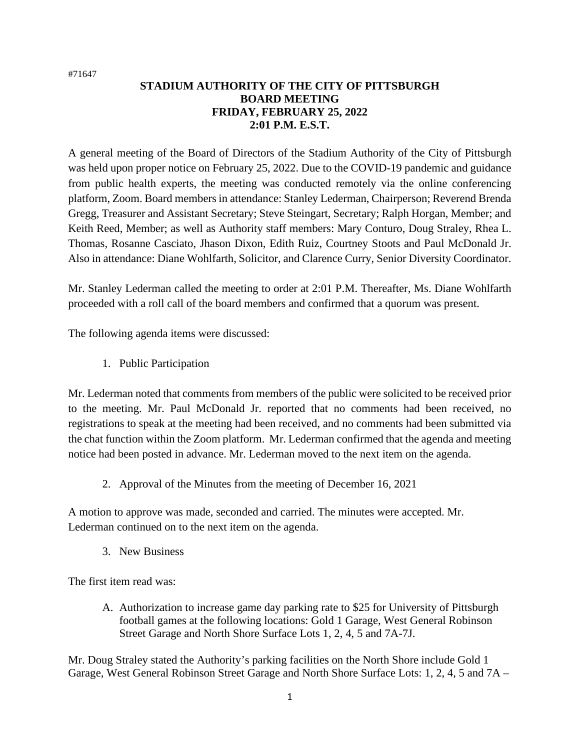#71647

## **STADIUM AUTHORITY OF THE CITY OF PITTSBURGH BOARD MEETING FRIDAY, FEBRUARY 25, 2022 2:01 P.M. E.S.T.**

A general meeting of the Board of Directors of the Stadium Authority of the City of Pittsburgh was held upon proper notice on February 25, 2022. Due to the COVID-19 pandemic and guidance from public health experts, the meeting was conducted remotely via the online conferencing platform, Zoom. Board members in attendance: Stanley Lederman, Chairperson; Reverend Brenda Gregg, Treasurer and Assistant Secretary; Steve Steingart, Secretary; Ralph Horgan, Member; and Keith Reed, Member; as well as Authority staff members: Mary Conturo, Doug Straley, Rhea L. Thomas, Rosanne Casciato, Jhason Dixon, Edith Ruiz, Courtney Stoots and Paul McDonald Jr. Also in attendance: Diane Wohlfarth, Solicitor, and Clarence Curry, Senior Diversity Coordinator.

Mr. Stanley Lederman called the meeting to order at 2:01 P.M. Thereafter, Ms. Diane Wohlfarth proceeded with a roll call of the board members and confirmed that a quorum was present.

The following agenda items were discussed:

1. Public Participation

Mr. Lederman noted that comments from members of the public were solicited to be received prior to the meeting. Mr. Paul McDonald Jr. reported that no comments had been received, no registrations to speak at the meeting had been received, and no comments had been submitted via the chat function within the Zoom platform. Mr. Lederman confirmed that the agenda and meeting notice had been posted in advance. Mr. Lederman moved to the next item on the agenda.

2. Approval of the Minutes from the meeting of December 16, 2021

A motion to approve was made, seconded and carried. The minutes were accepted. Mr. Lederman continued on to the next item on the agenda.

3. New Business

The first item read was:

A. Authorization to increase game day parking rate to \$25 for University of Pittsburgh football games at the following locations: Gold 1 Garage, West General Robinson Street Garage and North Shore Surface Lots 1, 2, 4, 5 and 7A-7J.

Mr. Doug Straley stated the Authority's parking facilities on the North Shore include Gold 1 Garage, West General Robinson Street Garage and North Shore Surface Lots: 1, 2, 4, 5 and 7A –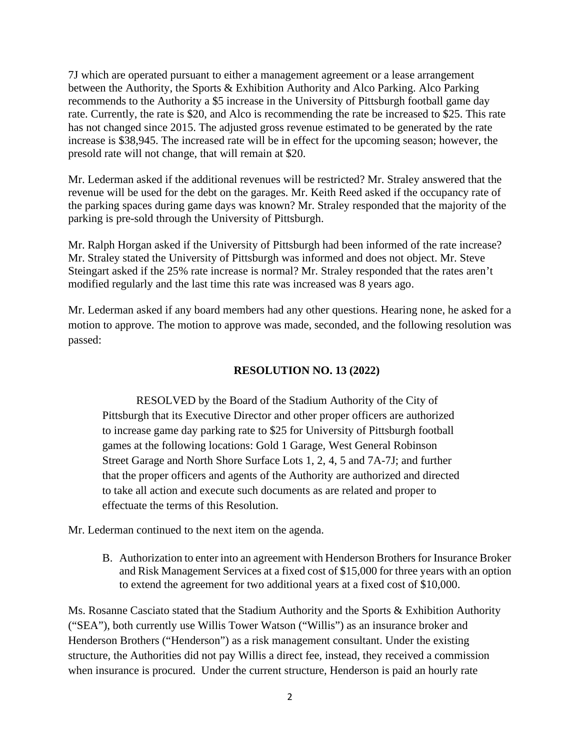7J which are operated pursuant to either a management agreement or a lease arrangement between the Authority, the Sports & Exhibition Authority and Alco Parking. Alco Parking recommends to the Authority a \$5 increase in the University of Pittsburgh football game day rate. Currently, the rate is \$20, and Alco is recommending the rate be increased to \$25. This rate has not changed since 2015. The adjusted gross revenue estimated to be generated by the rate increase is \$38,945. The increased rate will be in effect for the upcoming season; however, the presold rate will not change, that will remain at \$20.

Mr. Lederman asked if the additional revenues will be restricted? Mr. Straley answered that the revenue will be used for the debt on the garages. Mr. Keith Reed asked if the occupancy rate of the parking spaces during game days was known? Mr. Straley responded that the majority of the parking is pre-sold through the University of Pittsburgh.

Mr. Ralph Horgan asked if the University of Pittsburgh had been informed of the rate increase? Mr. Straley stated the University of Pittsburgh was informed and does not object. Mr. Steve Steingart asked if the 25% rate increase is normal? Mr. Straley responded that the rates aren't modified regularly and the last time this rate was increased was 8 years ago.

Mr. Lederman asked if any board members had any other questions. Hearing none, he asked for a motion to approve. The motion to approve was made, seconded, and the following resolution was passed:

## **RESOLUTION NO. 13 (2022)**

RESOLVED by the Board of the Stadium Authority of the City of Pittsburgh that its Executive Director and other proper officers are authorized to increase game day parking rate to \$25 for University of Pittsburgh football games at the following locations: Gold 1 Garage, West General Robinson Street Garage and North Shore Surface Lots 1, 2, 4, 5 and 7A-7J; and further that the proper officers and agents of the Authority are authorized and directed to take all action and execute such documents as are related and proper to effectuate the terms of this Resolution.

Mr. Lederman continued to the next item on the agenda.

B. Authorization to enter into an agreement with Henderson Brothers for Insurance Broker and Risk Management Services at a fixed cost of \$15,000 for three years with an option to extend the agreement for two additional years at a fixed cost of \$10,000.

Ms. Rosanne Casciato stated that the Stadium Authority and the Sports & Exhibition Authority ("SEA"), both currently use Willis Tower Watson ("Willis") as an insurance broker and Henderson Brothers ("Henderson") as a risk management consultant. Under the existing structure, the Authorities did not pay Willis a direct fee, instead, they received a commission when insurance is procured. Under the current structure, Henderson is paid an hourly rate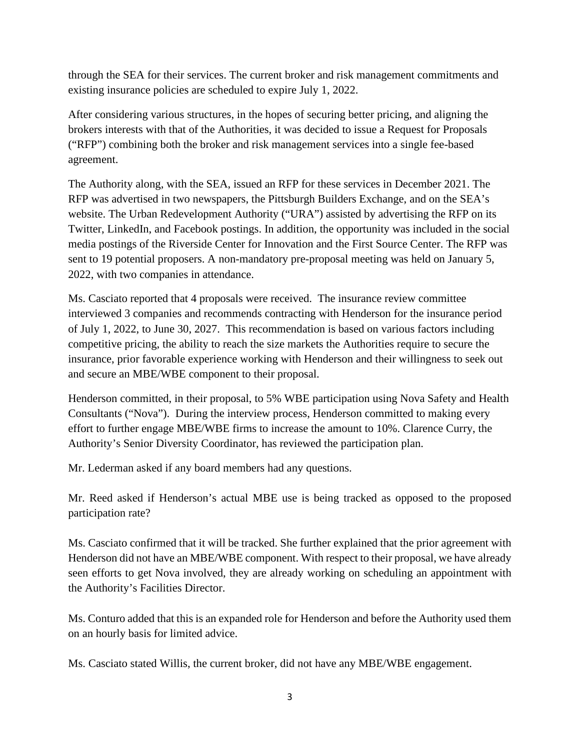through the SEA for their services. The current broker and risk management commitments and existing insurance policies are scheduled to expire July 1, 2022.

After considering various structures, in the hopes of securing better pricing, and aligning the brokers interests with that of the Authorities, it was decided to issue a Request for Proposals ("RFP") combining both the broker and risk management services into a single fee-based agreement.

The Authority along, with the SEA, issued an RFP for these services in December 2021. The RFP was advertised in two newspapers, the Pittsburgh Builders Exchange, and on the SEA's website. The Urban Redevelopment Authority ("URA") assisted by advertising the RFP on its Twitter, LinkedIn, and Facebook postings. In addition, the opportunity was included in the social media postings of the Riverside Center for Innovation and the First Source Center. The RFP was sent to 19 potential proposers. A non-mandatory pre-proposal meeting was held on January 5, 2022, with two companies in attendance.

Ms. Casciato reported that 4 proposals were received. The insurance review committee interviewed 3 companies and recommends contracting with Henderson for the insurance period of July 1, 2022, to June 30, 2027. This recommendation is based on various factors including competitive pricing, the ability to reach the size markets the Authorities require to secure the insurance, prior favorable experience working with Henderson and their willingness to seek out and secure an MBE/WBE component to their proposal.

Henderson committed, in their proposal, to 5% WBE participation using Nova Safety and Health Consultants ("Nova"). During the interview process, Henderson committed to making every effort to further engage MBE/WBE firms to increase the amount to 10%. Clarence Curry, the Authority's Senior Diversity Coordinator, has reviewed the participation plan.

Mr. Lederman asked if any board members had any questions.

Mr. Reed asked if Henderson's actual MBE use is being tracked as opposed to the proposed participation rate?

Ms. Casciato confirmed that it will be tracked. She further explained that the prior agreement with Henderson did not have an MBE/WBE component. With respect to their proposal, we have already seen efforts to get Nova involved, they are already working on scheduling an appointment with the Authority's Facilities Director.

Ms. Conturo added that this is an expanded role for Henderson and before the Authority used them on an hourly basis for limited advice.

Ms. Casciato stated Willis, the current broker, did not have any MBE/WBE engagement.